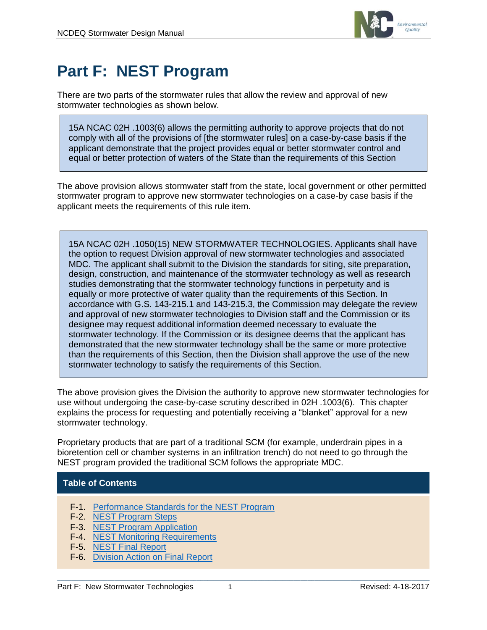

# **Part F: NEST Program**

There are two parts of the stormwater rules that allow the review and approval of new stormwater technologies as shown below.

15A NCAC 02H .1003(6) allows the permitting authority to approve projects that do not comply with all of the provisions of [the stormwater rules] on a case-by-case basis if the applicant demonstrate that the project provides equal or better stormwater control and equal or better protection of waters of the State than the requirements of this Section

The above provision allows stormwater staff from the state, local government or other permitted stormwater program to approve new stormwater technologies on a case-by case basis if the applicant meets the requirements of this rule item.

15A NCAC 02H .1050(15) NEW STORMWATER TECHNOLOGIES. Applicants shall have the option to request Division approval of new stormwater technologies and associated MDC. The applicant shall submit to the Division the standards for siting, site preparation, design, construction, and maintenance of the stormwater technology as well as research studies demonstrating that the stormwater technology functions in perpetuity and is equally or more protective of water quality than the requirements of this Section. In accordance with G.S. 143-215.1 and 143-215.3, the Commission may delegate the review and approval of new stormwater technologies to Division staff and the Commission or its designee may request additional information deemed necessary to evaluate the stormwater technology. If the Commission or its designee deems that the applicant has demonstrated that the new stormwater technology shall be the same or more protective than the requirements of this Section, then the Division shall approve the use of the new stormwater technology to satisfy the requirements of this Section.

The above provision gives the Division the authority to approve new stormwater technologies for use without undergoing the case-by-case scrutiny described in 02H .1003(6). This chapter explains the process for requesting and potentially receiving a "blanket" approval for a new stormwater technology.

Proprietary products that are part of a traditional SCM (for example, underdrain pipes in a bioretention cell or chamber systems in an infiltration trench) do not need to go through the NEST program provided the traditional SCM follows the appropriate MDC.

### **Table of Contents**

- F-1. [Performance Standards for the NEST Program](#page-1-0)
- F-2. [NEST Program Steps](#page-1-1)
- F-3. [NEST Program Application](#page-2-0)
- F-4. [NEST Monitoring Requirements](#page-4-0)
- F-5. [NEST Final Report](#page-4-1)
- F-6. [Division Action on Final Report](#page-5-0)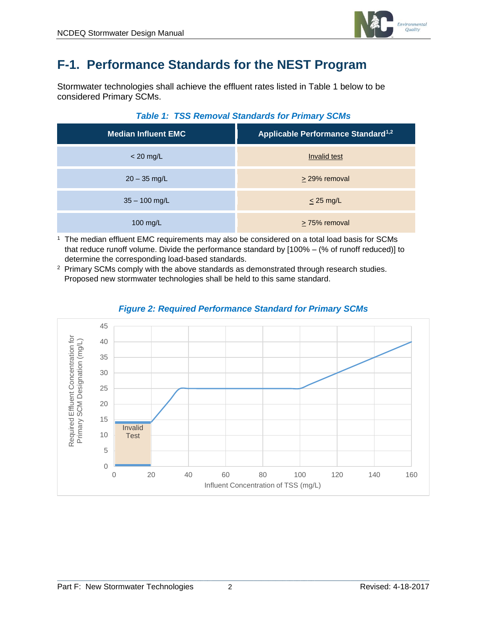

# <span id="page-1-0"></span>**F-1. Performance Standards for the NEST Program**

Stormwater technologies shall achieve the effluent rates listed in Table 1 below to be considered Primary SCMs.

| <b>Median Influent EMC</b> | Applicable Performance Standard <sup>1,2</sup> |
|----------------------------|------------------------------------------------|
| $<$ 20 mg/L                | Invalid test                                   |
| $20 - 35$ mg/L             | > 29% removal                                  |
| $35 - 100$ mg/L            | $<$ 25 mg/L                                    |
| 100 mg/L                   | $\geq$ 75% removal                             |

#### *Table 1: TSS Removal Standards for Primary SCMs*

<sup>1</sup> The median effluent EMC requirements may also be considered on a total load basis for SCMs that reduce runoff volume. Divide the performance standard by [100% – (% of runoff reduced)] to determine the corresponding load-based standards.

<sup>2</sup> Primary SCMs comply with the above standards as demonstrated through research studies. Proposed new stormwater technologies shall be held to this same standard.



### <span id="page-1-1"></span>*Figure 2: Required Performance Standard for Primary SCMs*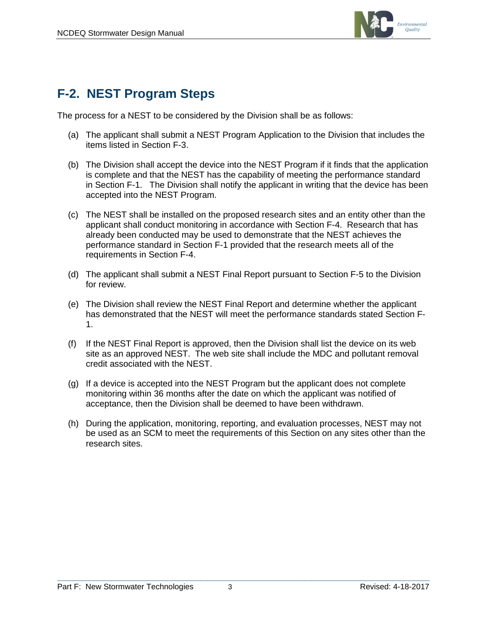

### **F-2. NEST Program Steps**

The process for a NEST to be considered by the Division shall be as follows:

- (a) The applicant shall submit a NEST Program Application to the Division that includes the items listed in Section F-3.
- (b) The Division shall accept the device into the NEST Program if it finds that the application is complete and that the NEST has the capability of meeting the performance standard in Section F-1. The Division shall notify the applicant in writing that the device has been accepted into the NEST Program.
- (c) The NEST shall be installed on the proposed research sites and an entity other than the applicant shall conduct monitoring in accordance with Section F-4. Research that has already been conducted may be used to demonstrate that the NEST achieves the performance standard in Section F-1 provided that the research meets all of the requirements in Section F-4.
- (d) The applicant shall submit a NEST Final Report pursuant to Section F-5 to the Division for review.
- (e) The Division shall review the NEST Final Report and determine whether the applicant has demonstrated that the NEST will meet the performance standards stated Section F-1.
- (f) If the NEST Final Report is approved, then the Division shall list the device on its web site as an approved NEST. The web site shall include the MDC and pollutant removal credit associated with the NEST.
- (g) If a device is accepted into the NEST Program but the applicant does not complete monitoring within 36 months after the date on which the applicant was notified of acceptance, then the Division shall be deemed to have been withdrawn.
- <span id="page-2-0"></span>(h) During the application, monitoring, reporting, and evaluation processes, NEST may not be used as an SCM to meet the requirements of this Section on any sites other than the research sites.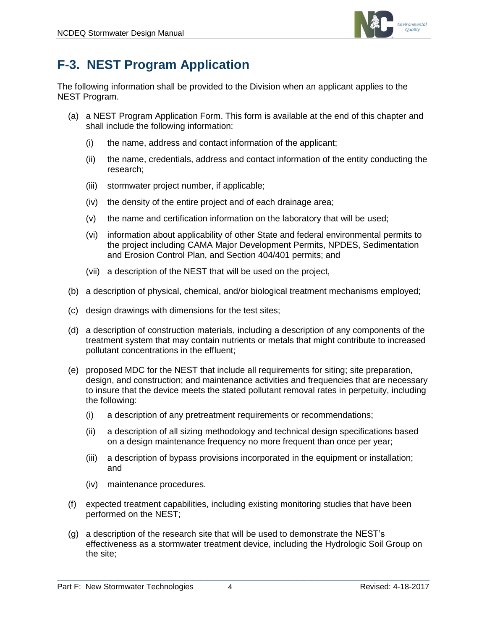

# **F-3. NEST Program Application**

The following information shall be provided to the Division when an applicant applies to the NEST Program.

- (a) a NEST Program Application Form. This form is available at the end of this chapter and shall include the following information:
	- (i) the name, address and contact information of the applicant;
	- (ii) the name, credentials, address and contact information of the entity conducting the research;
	- (iii) stormwater project number, if applicable;
	- (iv) the density of the entire project and of each drainage area;
	- (v) the name and certification information on the laboratory that will be used;
	- (vi) information about applicability of other State and federal environmental permits to the project including CAMA Major Development Permits, NPDES, Sedimentation and Erosion Control Plan, and Section 404/401 permits; and
	- (vii) a description of the NEST that will be used on the project,
- (b) a description of physical, chemical, and/or biological treatment mechanisms employed;
- (c) design drawings with dimensions for the test sites;
- (d) a description of construction materials, including a description of any components of the treatment system that may contain nutrients or metals that might contribute to increased pollutant concentrations in the effluent;
- (e) proposed MDC for the NEST that include all requirements for siting; site preparation, design, and construction; and maintenance activities and frequencies that are necessary to insure that the device meets the stated pollutant removal rates in perpetuity, including the following:
	- (i) a description of any pretreatment requirements or recommendations;
	- (ii) a description of all sizing methodology and technical design specifications based on a design maintenance frequency no more frequent than once per year;
	- (iii) a description of bypass provisions incorporated in the equipment or installation; and
	- (iv) maintenance procedures.
- (f) expected treatment capabilities, including existing monitoring studies that have been performed on the NEST;
- (g) a description of the research site that will be used to demonstrate the NEST's effectiveness as a stormwater treatment device, including the Hydrologic Soil Group on the site;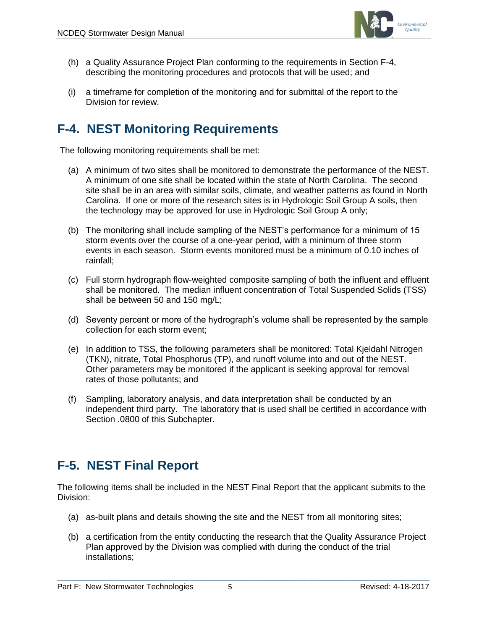

- (h) a Quality Assurance Project Plan conforming to the requirements in Section F-4, describing the monitoring procedures and protocols that will be used; and
- (i) a timeframe for completion of the monitoring and for submittal of the report to the Division for review.

# <span id="page-4-0"></span>**F-4. NEST Monitoring Requirements**

The following monitoring requirements shall be met:

- (a) A minimum of two sites shall be monitored to demonstrate the performance of the NEST. A minimum of one site shall be located within the state of North Carolina. The second site shall be in an area with similar soils, climate, and weather patterns as found in North Carolina. If one or more of the research sites is in Hydrologic Soil Group A soils, then the technology may be approved for use in Hydrologic Soil Group A only;
- (b) The monitoring shall include sampling of the NEST's performance for a minimum of 15 storm events over the course of a one-year period, with a minimum of three storm events in each season. Storm events monitored must be a minimum of 0.10 inches of rainfall;
- (c) Full storm hydrograph flow-weighted composite sampling of both the influent and effluent shall be monitored. The median influent concentration of Total Suspended Solids (TSS) shall be between 50 and 150 mg/L;
- (d) Seventy percent or more of the hydrograph's volume shall be represented by the sample collection for each storm event;
- (e) In addition to TSS, the following parameters shall be monitored: Total Kjeldahl Nitrogen (TKN), nitrate, Total Phosphorus (TP), and runoff volume into and out of the NEST. Other parameters may be monitored if the applicant is seeking approval for removal rates of those pollutants; and
- (f) Sampling, laboratory analysis, and data interpretation shall be conducted by an independent third party. The laboratory that is used shall be certified in accordance with Section .0800 of this Subchapter.

# <span id="page-4-1"></span>**F-5. NEST Final Report**

The following items shall be included in the NEST Final Report that the applicant submits to the Division:

- (a) as-built plans and details showing the site and the NEST from all monitoring sites;
- (b) a certification from the entity conducting the research that the Quality Assurance Project Plan approved by the Division was complied with during the conduct of the trial installations;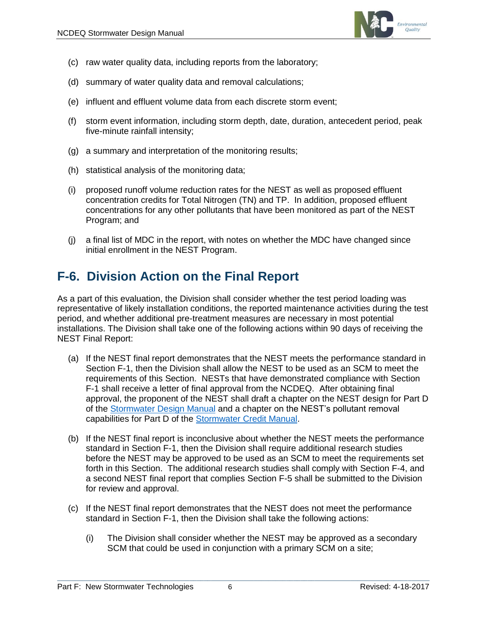

- (c) raw water quality data, including reports from the laboratory;
- (d) summary of water quality data and removal calculations;
- (e) influent and effluent volume data from each discrete storm event;
- (f) storm event information, including storm depth, date, duration, antecedent period, peak five-minute rainfall intensity;
- (g) a summary and interpretation of the monitoring results;
- (h) statistical analysis of the monitoring data;
- (i) proposed runoff volume reduction rates for the NEST as well as proposed effluent concentration credits for Total Nitrogen (TN) and TP. In addition, proposed effluent concentrations for any other pollutants that have been monitored as part of the NEST Program; and
- (j) a final list of MDC in the report, with notes on whether the MDC have changed since initial enrollment in the NEST Program.

### <span id="page-5-0"></span>**F-6. Division Action on the Final Report**

As a part of this evaluation, the Division shall consider whether the test period loading was representative of likely installation conditions, the reported maintenance activities during the test period, and whether additional pre-treatment measures are necessary in most potential installations. The Division shall take one of the following actions within 90 days of receiving the NEST Final Report:

- (a) If the NEST final report demonstrates that the NEST meets the performance standard in Section F-1, then the Division shall allow the NEST to be used as an SCM to meet the requirements of this Section. NESTs that have demonstrated compliance with Section F-1 shall receive a letter of final approval from the NCDEQ. After obtaining final approval, the proponent of the NEST shall draft a chapter on the NEST design for Part D of the [Stormwater Design Manual](https://deq.nc.gov/about/divisions/energy-mineral-land-resources/energy-mineral-land-permit-guidance/stormwater-bmp-manual) and a chapter on the NEST's pollutant removal capabilities for Part D of the [Stormwater Credit Manual.](https://ncdenr.s3.amazonaws.com/s3fs-public/Energy%20Mineral%20and%20Land%20Resources/Stormwater/BMP%20Manual/SCM_Credit_Doc_9-30-16.pdf)
- (b) If the NEST final report is inconclusive about whether the NEST meets the performance standard in Section F-1, then the Division shall require additional research studies before the NEST may be approved to be used as an SCM to meet the requirements set forth in this Section. The additional research studies shall comply with Section F-4, and a second NEST final report that complies Section F-5 shall be submitted to the Division for review and approval.
- (c) If the NEST final report demonstrates that the NEST does not meet the performance standard in Section F-1, then the Division shall take the following actions:
	- (i) The Division shall consider whether the NEST may be approved as a secondary SCM that could be used in conjunction with a primary SCM on a site;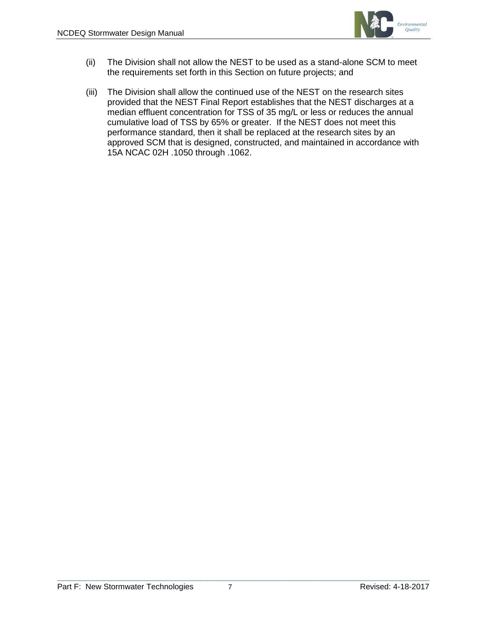

- (ii) The Division shall not allow the NEST to be used as a stand-alone SCM to meet the requirements set forth in this Section on future projects; and
- (iii) The Division shall allow the continued use of the NEST on the research sites provided that the NEST Final Report establishes that the NEST discharges at a median effluent concentration for TSS of 35 mg/L or less or reduces the annual cumulative load of TSS by 65% or greater. If the NEST does not meet this performance standard, then it shall be replaced at the research sites by an approved SCM that is designed, constructed, and maintained in accordance with 15A NCAC 02H .1050 through .1062.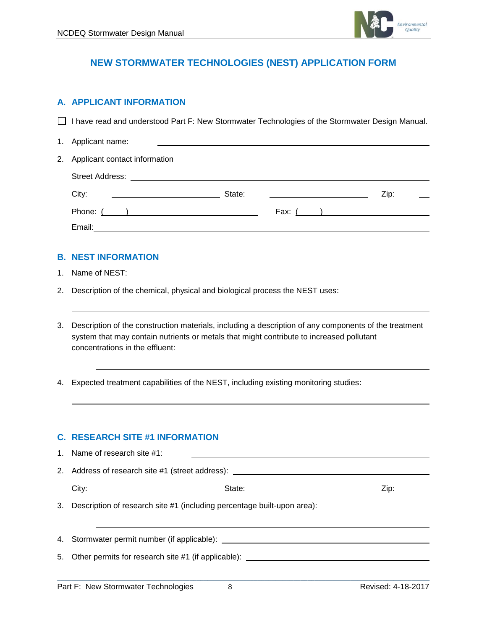

### **NEW STORMWATER TECHNOLOGIES (NEST) APPLICATION FORM**

#### **A. APPLICANT INFORMATION**

□ I have read and understood Part F: New Stormwater Technologies of the Stormwater Design Manual.

| 1. Applicant name:                       |        |      |
|------------------------------------------|--------|------|
| 2. Applicant contact information         |        |      |
| Street Address: <u>www.community.com</u> |        |      |
| City:                                    | State: | Zip: |
| Phone: $($ $)$                           |        |      |
| Email:                                   |        |      |

#### **B. NEST INFORMATION**

- 1. Name of NEST:
- 2. Description of the chemical, physical and biological process the NEST uses:
- 3. Description of the construction materials, including a description of any components of the treatment system that may contain nutrients or metals that might contribute to increased pollutant concentrations in the effluent:
- 4. Expected treatment capabilities of the NEST, including existing monitoring studies:

#### **C. RESEARCH SITE #1 INFORMATION**

|    | 1. Name of research site #1:                                                     |                          |
|----|----------------------------------------------------------------------------------|--------------------------|
| 2. | Address of research site #1 (street address): __________________________________ |                          |
|    | City:<br>State:<br><u> 1980 - Andrea Andrew Maria (h. 1980).</u>                 | Zip:                     |
|    | 3. Description of research site #1 (including percentage built-upon area):       |                          |
|    |                                                                                  |                          |
|    | 4. Stormwater permit number (if applicable): ___________________________________ |                          |
|    | 5. Other permits for research site #1 (if applicable):                           |                          |
|    |                                                                                  |                          |
|    | Dout F. Nau Claususday Tachnalagias<br>$\sim$                                    | <b>DAMAAAL 4 40 0047</b> |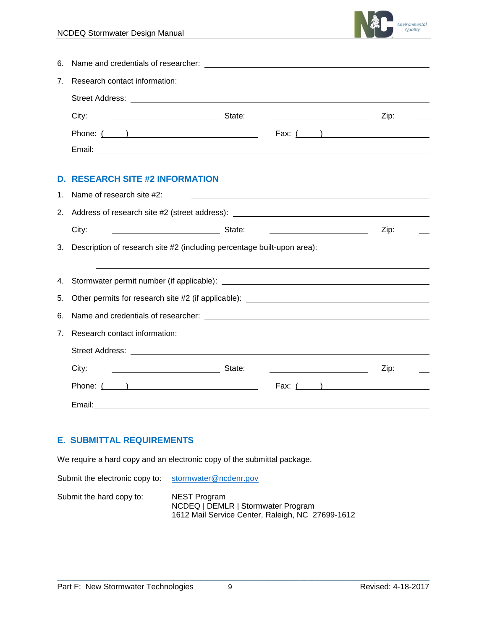

| 7. Research contact information: |        |      |
|----------------------------------|--------|------|
|                                  |        |      |
| City:                            | State: | Zip: |
|                                  |        |      |
| Email:                           |        |      |

### **D. RESEARCH SITE #2 INFORMATION**

|                                | 1. Name of research site #2:                                                                                        |      |  |
|--------------------------------|---------------------------------------------------------------------------------------------------------------------|------|--|
|                                |                                                                                                                     |      |  |
|                                | City:<br><u> 1989 - Andrea Barbara, poeta esperanto-</u>                                                            | Zip: |  |
|                                | 3. Description of research site #2 (including percentage built-upon area):                                          |      |  |
|                                |                                                                                                                     |      |  |
|                                | 4. Stormwater permit number (if applicable): ___________________________________                                    |      |  |
|                                |                                                                                                                     |      |  |
|                                |                                                                                                                     |      |  |
| $7_{\scriptscriptstyle{\sim}}$ | Research contact information:                                                                                       |      |  |
|                                |                                                                                                                     |      |  |
|                                |                                                                                                                     | Zip: |  |
|                                | Phone: $($ $)$<br>Fax: $($ and $)$                                                                                  |      |  |
|                                | Email: <u>Contract Communication</u> Contract Communication Communication Communication Communication Communication |      |  |

### **E. SUBMITTAL REQUIREMENTS**

We require a hard copy and an electronic copy of the submittal package.

Submit the electronic copy to: [stormwater@ncdenr.gov](mailto:stormwater@ncdenr.gov)

Submit the hard copy to: NEST Program

NCDEQ | DEMLR | Stormwater Program 1612 Mail Service Center, Raleigh, NC 27699-1612